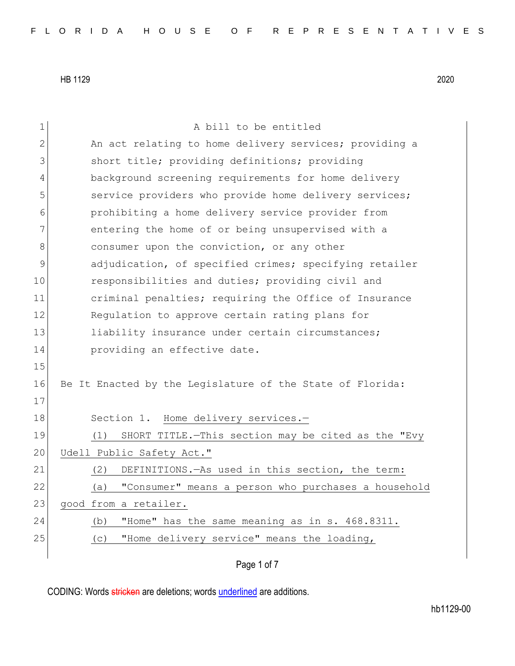1 a bill to be entitled 2 An act relating to home delivery services; providing a 3 short title; providing definitions; providing 4 background screening requirements for home delivery 5 Service providers who provide home delivery services; 6 **prohibiting a home delivery service provider from** 7 entering the home of or being unsupervised with a 8 8 8 consumer upon the conviction, or any other 9 adjudication, of specified crimes; specifying retailer 10 responsibilities and duties; providing civil and 11 criminal penalties; requiring the Office of Insurance 12 Regulation to approve certain rating plans for 13 liability insurance under certain circumstances; 14 **providing an effective date.** 15 16 Be It Enacted by the Legislature of the State of Florida: 17 18 Section 1. Home delivery services.-19 (1) SHORT TITLE.—This section may be cited as the "Evy 20 Udell Public Safety Act." 21 (2) DEFINITIONS.—As used in this section, the term: 22 (a) "Consumer" means a person who purchases a household 23 good from a retailer. 24 (b) "Home" has the same meaning as in s. 468.8311. 25 (c) "Home delivery service" means the loading,

Page 1 of 7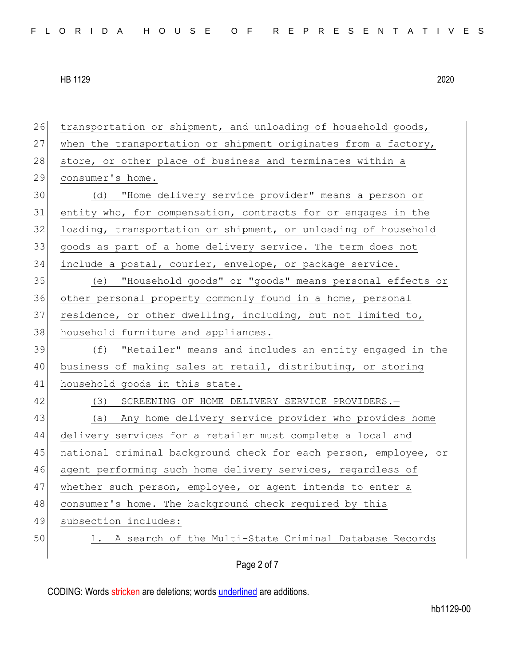Page 2 of 7 26 transportation or shipment, and unloading of household goods, 27 when the transportation or shipment originates from a factory, 28 store, or other place of business and terminates within a 29 consumer's home. 30 (d) "Home delivery service provider" means a person or 31 entity who, for compensation, contracts for or engages in the 32 loading, transportation or shipment, or unloading of household 33 goods as part of a home delivery service. The term does not 34 include a postal, courier, envelope, or package service. 35 (e) "Household goods" or "goods" means personal effects or 36 other personal property commonly found in a home, personal 37 residence, or other dwelling, including, but not limited to, 38 household furniture and appliances. 39 (f) "Retailer" means and includes an entity engaged in the 40 business of making sales at retail, distributing, or storing 41 household goods in this state. 42 (3) SCREENING OF HOME DELIVERY SERVICE PROVIDERS. 43 (a) Any home delivery service provider who provides home 44 delivery services for a retailer must complete a local and 45 national criminal background check for each person, employee, or 46 agent performing such home delivery services, regardless of 47 whether such person, employee, or agent intends to enter a 48 consumer's home. The background check required by this 49 subsection includes: 50 1. A search of the Multi-State Criminal Database Records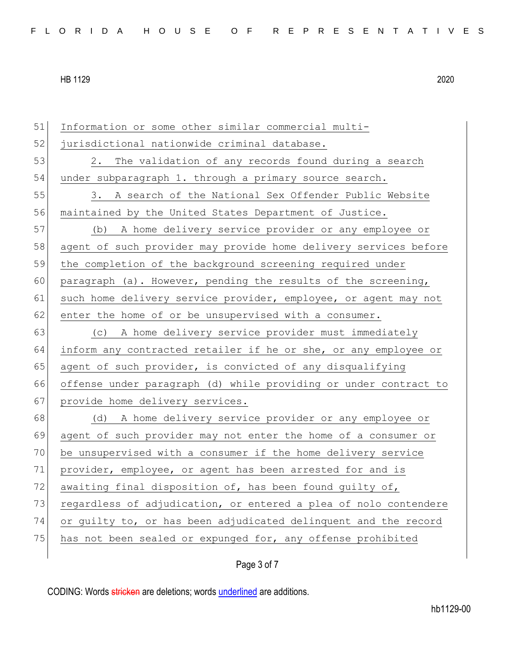51 Information or some other similar commercial multi-52 jurisdictional nationwide criminal database. 53 2. The validation of any records found during a search 54 under subparagraph 1. through a primary source search. 55 3. A search of the National Sex Offender Public Website 56 maintained by the United States Department of Justice. 57 (b) A home delivery service provider or any employee or 58 agent of such provider may provide home delivery services before 59 the completion of the background screening required under 60 paragraph (a). However, pending the results of the screening, 61 such home delivery service provider, employee, or agent may not 62 enter the home of or be unsupervised with a consumer. 63 (c) A home delivery service provider must immediately 64 inform any contracted retailer if he or she, or any employee or 65 agent of such provider, is convicted of any disqualifying 66 offense under paragraph (d) while providing or under contract to 67 provide home delivery services. 68 (d) A home delivery service provider or any employee or 69 agent of such provider may not enter the home of a consumer or 70 be unsupervised with a consumer if the home delivery service 71 provider, employee, or agent has been arrested for and is 72 awaiting final disposition of, has been found guilty of, 73 regardless of adjudication, or entered a plea of nolo contendere 74 or guilty to, or has been adjudicated delinquent and the record 75 has not been sealed or expunged for, any offense prohibited

### Page 3 of 7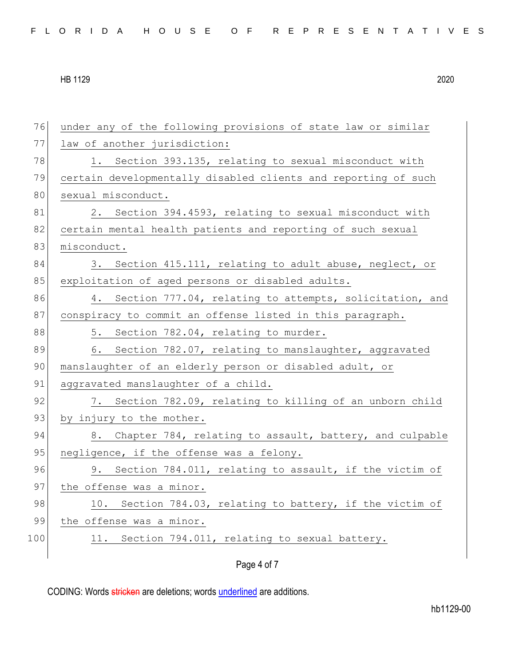76 under any of the following provisions of state law or similar 77 law of another jurisdiction: 78 1. Section 393.135, relating to sexual misconduct with 79 certain developmentally disabled clients and reporting of such 80 sexual misconduct. 81 2. Section 394.4593, relating to sexual misconduct with 82 certain mental health patients and reporting of such sexual 83 misconduct. 84 3. Section 415.111, relating to adult abuse, neglect, or 85 exploitation of aged persons or disabled adults. 86 4. Section 777.04, relating to attempts, solicitation, and 87 conspiracy to commit an offense listed in this paragraph. 88 5. Section 782.04, relating to murder. 89 6. Section 782.07, relating to manslaughter, aggravated 90 manslaughter of an elderly person or disabled adult, or 91 aggravated manslaughter of a child. 92 7. Section 782.09, relating to killing of an unborn child 93 by injury to the mother. 94 8. Chapter 784, relating to assault, battery, and culpable 95 negligence, if the offense was a felony. 96 9. Section 784.011, relating to assault, if the victim of 97 the offense was a minor. 98 10. Section 784.03, relating to battery, if the victim of 99 the offense was a minor. 100 11. Section 794.011, relating to sexual battery.

### Page 4 of 7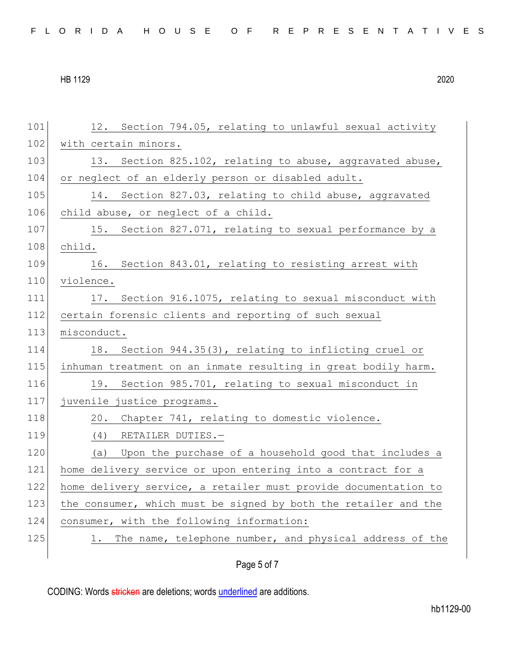| FLORIDA HOUSE OF REPRESENTATIVES |  |  |  |  |  |  |  |  |  |  |  |  |  |  |  |  |  |  |  |  |  |  |  |  |  |
|----------------------------------|--|--|--|--|--|--|--|--|--|--|--|--|--|--|--|--|--|--|--|--|--|--|--|--|--|
|----------------------------------|--|--|--|--|--|--|--|--|--|--|--|--|--|--|--|--|--|--|--|--|--|--|--|--|--|

| 101 | 12. Section 794.05, relating to unlawful sexual activity        |
|-----|-----------------------------------------------------------------|
| 102 | with certain minors.                                            |
| 103 | 13. Section 825.102, relating to abuse, aggravated abuse,       |
| 104 | or neglect of an elderly person or disabled adult.              |
| 105 | Section 827.03, relating to child abuse, aggravated<br>14.      |
| 106 | child abuse, or neglect of a child.                             |
| 107 | 15. Section 827.071, relating to sexual performance by a        |
| 108 | child.                                                          |
| 109 | 16. Section 843.01, relating to resisting arrest with           |
| 110 | violence.                                                       |
| 111 | 17. Section 916.1075, relating to sexual misconduct with        |
| 112 | certain forensic clients and reporting of such sexual           |
| 113 | misconduct.                                                     |
| 114 | 18.<br>Section 944.35(3), relating to inflicting cruel or       |
| 115 | inhuman treatment on an inmate resulting in great bodily harm.  |
| 116 | 19. Section 985.701, relating to sexual misconduct in           |
| 117 | juvenile justice programs.                                      |
| 118 | 20. Chapter 741, relating to domestic violence.                 |
| 119 | $(4)$ RETAILER DUTIES. -                                        |
| 120 | Upon the purchase of a household good that includes a<br>(a)    |
| 121 | home delivery service or upon entering into a contract for a    |
| 122 | home delivery service, a retailer must provide documentation to |
| 123 | the consumer, which must be signed by both the retailer and the |
| 124 | consumer, with the following information:                       |
| 125 | The name, telephone number, and physical address of the<br>1.   |
|     |                                                                 |

# Page 5 of 7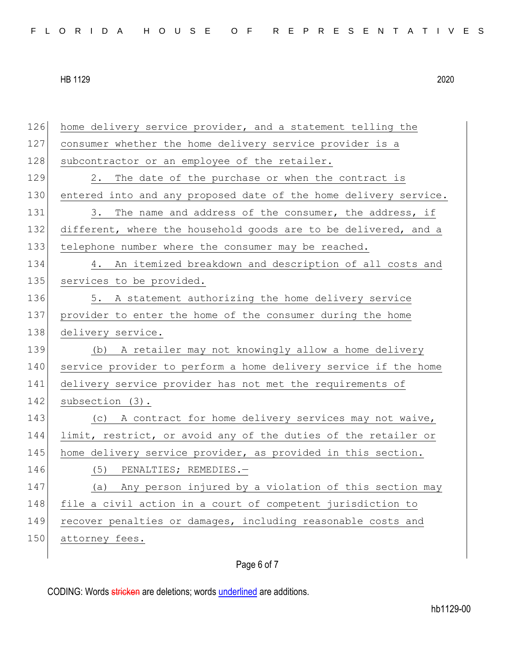126 home delivery service provider, and a statement telling the 127 consumer whether the home delivery service provider is a 128 subcontractor or an employee of the retailer. 129 2. The date of the purchase or when the contract is 130 entered into and any proposed date of the home delivery service. 131 3. The name and address of the consumer, the address, if 132 different, where the household goods are to be delivered, and a 133 telephone number where the consumer may be reached. 134 4. An itemized breakdown and description of all costs and 135 services to be provided. 136 5. A statement authorizing the home delivery service 137 provider to enter the home of the consumer during the home 138 delivery service. 139 (b) A retailer may not knowingly allow a home delivery 140 service provider to perform a home delivery service if the home 141 delivery service provider has not met the requirements of 142 subsection (3). 143 (c) A contract for home delivery services may not waive, 144 limit, restrict, or avoid any of the duties of the retailer or 145 home delivery service provider, as provided in this section. 146 (5) PENALTIES; REMEDIES.-147 (a) Any person injured by a violation of this section may 148 file a civil action in a court of competent jurisdiction to 149 recover penalties or damages, including reasonable costs and 150 attorney fees.

## Page 6 of 7